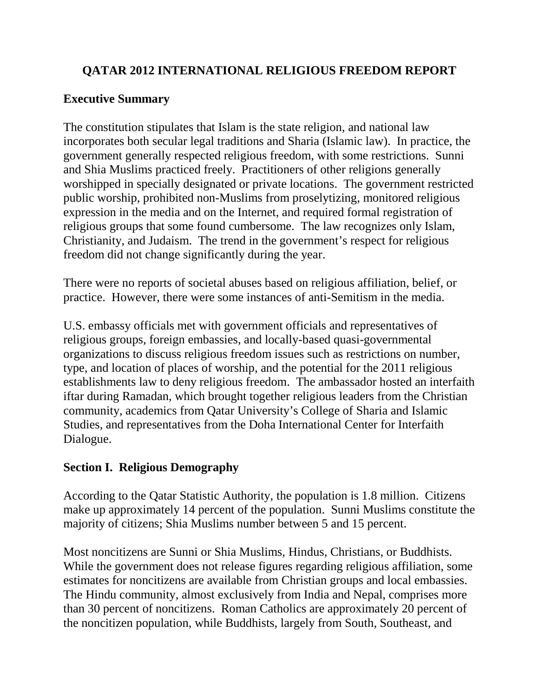### **QATAR 2012 INTERNATIONAL RELIGIOUS FREEDOM REPORT**

### **Executive Summary**

The constitution stipulates that Islam is the state religion, and national law incorporates both secular legal traditions and Sharia (Islamic law). In practice, the government generally respected religious freedom, with some restrictions. Sunni and Shia Muslims practiced freely. Practitioners of other religions generally worshipped in specially designated or private locations. The government restricted public worship, prohibited non-Muslims from proselytizing, monitored religious expression in the media and on the Internet, and required formal registration of religious groups that some found cumbersome. The law recognizes only Islam, Christianity, and Judaism. The trend in the government's respect for religious freedom did not change significantly during the year.

There were no reports of societal abuses based on religious affiliation, belief, or practice. However, there were some instances of anti-Semitism in the media.

U.S. embassy officials met with government officials and representatives of religious groups, foreign embassies, and locally-based quasi-governmental organizations to discuss religious freedom issues such as restrictions on number, type, and location of places of worship, and the potential for the 2011 religious establishments law to deny religious freedom. The ambassador hosted an interfaith iftar during Ramadan, which brought together religious leaders from the Christian community, academics from Qatar University's College of Sharia and Islamic Studies, and representatives from the Doha International Center for Interfaith Dialogue.

### **Section I. Religious Demography**

According to the Qatar Statistic Authority, the population is 1.8 million. Citizens make up approximately 14 percent of the population. Sunni Muslims constitute the majority of citizens; Shia Muslims number between 5 and 15 percent.

Most noncitizens are Sunni or Shia Muslims, Hindus, Christians, or Buddhists. While the government does not release figures regarding religious affiliation, some estimates for noncitizens are available from Christian groups and local embassies. The Hindu community, almost exclusively from India and Nepal, comprises more than 30 percent of noncitizens. Roman Catholics are approximately 20 percent of the noncitizen population, while Buddhists, largely from South, Southeast, and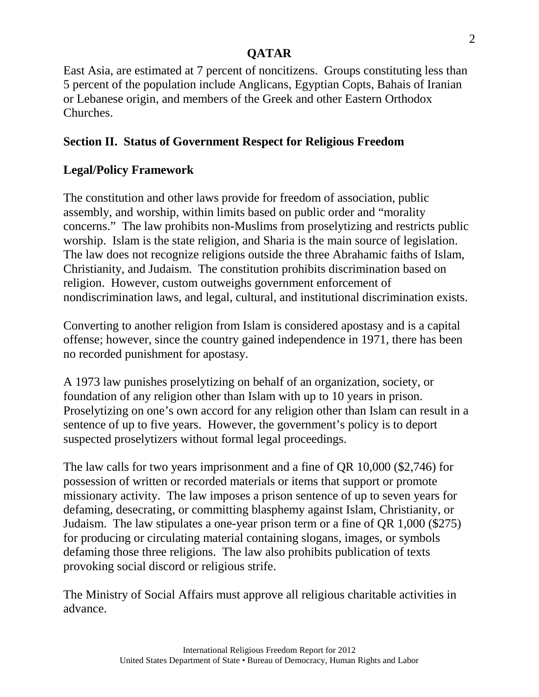East Asia, are estimated at 7 percent of noncitizens. Groups constituting less than 5 percent of the population include Anglicans, Egyptian Copts, Bahais of Iranian or Lebanese origin, and members of the Greek and other Eastern Orthodox Churches.

# **Section II. Status of Government Respect for Religious Freedom**

## **Legal/Policy Framework**

The constitution and other laws provide for freedom of association, public assembly, and worship, within limits based on public order and "morality concerns." The law prohibits non-Muslims from proselytizing and restricts public worship. Islam is the state religion, and Sharia is the main source of legislation. The law does not recognize religions outside the three Abrahamic faiths of Islam, Christianity, and Judaism. The constitution prohibits discrimination based on religion. However, custom outweighs government enforcement of nondiscrimination laws, and legal, cultural, and institutional discrimination exists.

Converting to another religion from Islam is considered apostasy and is a capital offense; however, since the country gained independence in 1971, there has been no recorded punishment for apostasy.

A 1973 law punishes proselytizing on behalf of an organization, society, or foundation of any religion other than Islam with up to 10 years in prison. Proselytizing on one's own accord for any religion other than Islam can result in a sentence of up to five years. However, the government's policy is to deport suspected proselytizers without formal legal proceedings.

The law calls for two years imprisonment and a fine of QR 10,000 (\$2,746) for possession of written or recorded materials or items that support or promote missionary activity. The law imposes a prison sentence of up to seven years for defaming, desecrating, or committing blasphemy against Islam, Christianity, or Judaism. The law stipulates a one-year prison term or a fine of QR 1,000 (\$275) for producing or circulating material containing slogans, images, or symbols defaming those three religions. The law also prohibits publication of texts provoking social discord or religious strife.

The Ministry of Social Affairs must approve all religious charitable activities in advance.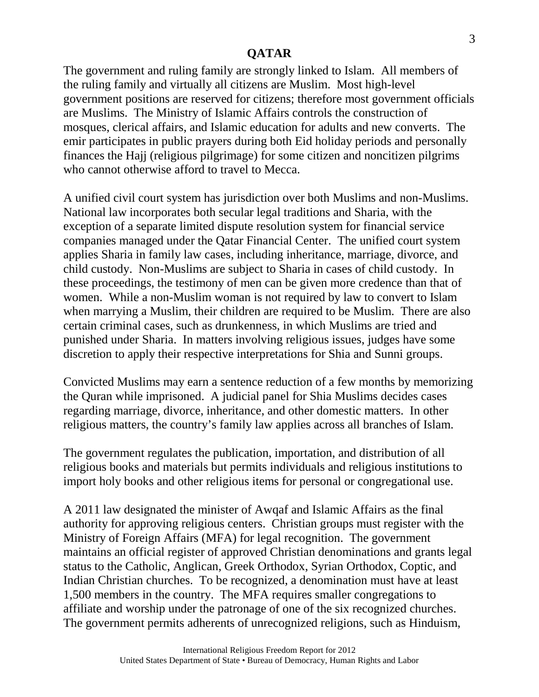The government and ruling family are strongly linked to Islam. All members of the ruling family and virtually all citizens are Muslim. Most high-level government positions are reserved for citizens; therefore most government officials are Muslims. The Ministry of Islamic Affairs controls the construction of mosques, clerical affairs, and Islamic education for adults and new converts. The emir participates in public prayers during both Eid holiday periods and personally finances the Hajj (religious pilgrimage) for some citizen and noncitizen pilgrims who cannot otherwise afford to travel to Mecca.

A unified civil court system has jurisdiction over both Muslims and non-Muslims. National law incorporates both secular legal traditions and Sharia, with the exception of a separate limited dispute resolution system for financial service companies managed under the Qatar Financial Center. The unified court system applies Sharia in family law cases, including inheritance, marriage, divorce, and child custody. Non-Muslims are subject to Sharia in cases of child custody. In these proceedings, the testimony of men can be given more credence than that of women. While a non-Muslim woman is not required by law to convert to Islam when marrying a Muslim, their children are required to be Muslim. There are also certain criminal cases, such as drunkenness, in which Muslims are tried and punished under Sharia. In matters involving religious issues, judges have some discretion to apply their respective interpretations for Shia and Sunni groups.

Convicted Muslims may earn a sentence reduction of a few months by memorizing the Quran while imprisoned. A judicial panel for Shia Muslims decides cases regarding marriage, divorce, inheritance, and other domestic matters. In other religious matters, the country's family law applies across all branches of Islam.

The government regulates the publication, importation, and distribution of all religious books and materials but permits individuals and religious institutions to import holy books and other religious items for personal or congregational use.

A 2011 law designated the minister of Awqaf and Islamic Affairs as the final authority for approving religious centers. Christian groups must register with the Ministry of Foreign Affairs (MFA) for legal recognition. The government maintains an official register of approved Christian denominations and grants legal status to the Catholic, Anglican, Greek Orthodox, Syrian Orthodox, Coptic, and Indian Christian churches. To be recognized, a denomination must have at least 1,500 members in the country. The MFA requires smaller congregations to affiliate and worship under the patronage of one of the six recognized churches. The government permits adherents of unrecognized religions, such as Hinduism,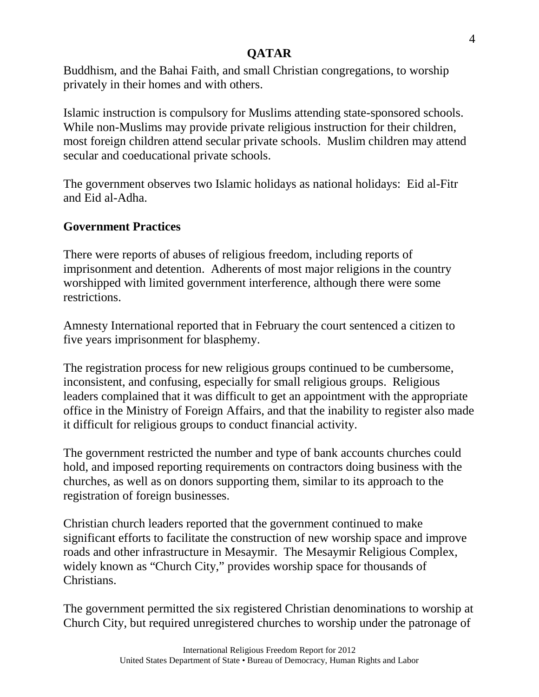Buddhism, and the Bahai Faith, and small Christian congregations, to worship privately in their homes and with others.

Islamic instruction is compulsory for Muslims attending state-sponsored schools. While non-Muslims may provide private religious instruction for their children, most foreign children attend secular private schools. Muslim children may attend secular and coeducational private schools.

The government observes two Islamic holidays as national holidays: Eid al-Fitr and Eid al-Adha.

## **Government Practices**

There were reports of abuses of religious freedom, including reports of imprisonment and detention. Adherents of most major religions in the country worshipped with limited government interference, although there were some restrictions.

Amnesty International reported that in February the court sentenced a citizen to five years imprisonment for blasphemy.

The registration process for new religious groups continued to be cumbersome, inconsistent, and confusing, especially for small religious groups. Religious leaders complained that it was difficult to get an appointment with the appropriate office in the Ministry of Foreign Affairs, and that the inability to register also made it difficult for religious groups to conduct financial activity.

The government restricted the number and type of bank accounts churches could hold, and imposed reporting requirements on contractors doing business with the churches, as well as on donors supporting them, similar to its approach to the registration of foreign businesses.

Christian church leaders reported that the government continued to make significant efforts to facilitate the construction of new worship space and improve roads and other infrastructure in Mesaymir. The Mesaymir Religious Complex, widely known as "Church City," provides worship space for thousands of Christians.

The government permitted the six registered Christian denominations to worship at Church City, but required unregistered churches to worship under the patronage of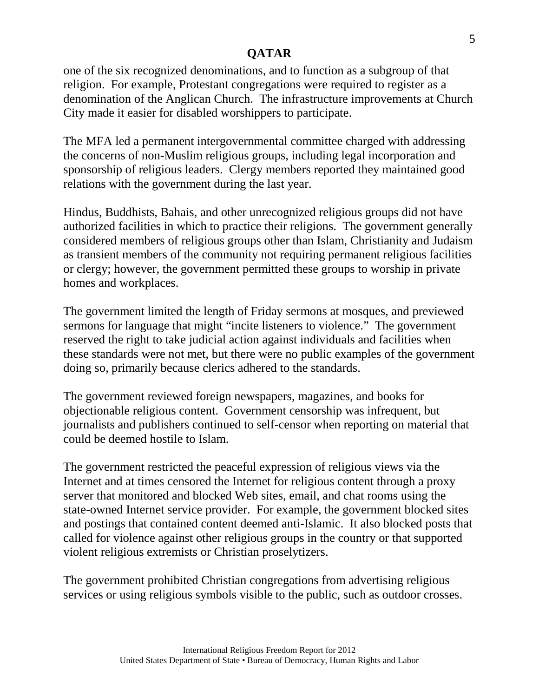one of the six recognized denominations, and to function as a subgroup of that religion. For example, Protestant congregations were required to register as a denomination of the Anglican Church. The infrastructure improvements at Church City made it easier for disabled worshippers to participate.

The MFA led a permanent intergovernmental committee charged with addressing the concerns of non-Muslim religious groups, including legal incorporation and sponsorship of religious leaders. Clergy members reported they maintained good relations with the government during the last year.

Hindus, Buddhists, Bahais, and other unrecognized religious groups did not have authorized facilities in which to practice their religions. The government generally considered members of religious groups other than Islam, Christianity and Judaism as transient members of the community not requiring permanent religious facilities or clergy; however, the government permitted these groups to worship in private homes and workplaces.

The government limited the length of Friday sermons at mosques, and previewed sermons for language that might "incite listeners to violence." The government reserved the right to take judicial action against individuals and facilities when these standards were not met, but there were no public examples of the government doing so, primarily because clerics adhered to the standards.

The government reviewed foreign newspapers, magazines, and books for objectionable religious content. Government censorship was infrequent, but journalists and publishers continued to self-censor when reporting on material that could be deemed hostile to Islam.

The government restricted the peaceful expression of religious views via the Internet and at times censored the Internet for religious content through a proxy server that monitored and blocked Web sites, email, and chat rooms using the state-owned Internet service provider. For example, the government blocked sites and postings that contained content deemed anti-Islamic. It also blocked posts that called for violence against other religious groups in the country or that supported violent religious extremists or Christian proselytizers.

The government prohibited Christian congregations from advertising religious services or using religious symbols visible to the public, such as outdoor crosses.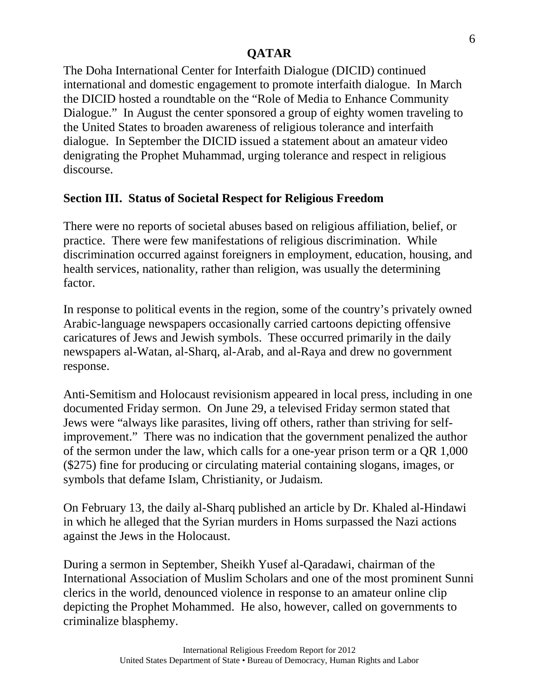The Doha International Center for Interfaith Dialogue (DICID) continued international and domestic engagement to promote interfaith dialogue. In March the DICID hosted a roundtable on the "Role of Media to Enhance Community Dialogue." In August the center sponsored a group of eighty women traveling to the United States to broaden awareness of religious tolerance and interfaith dialogue. In September the DICID issued a statement about an amateur video denigrating the Prophet Muhammad, urging tolerance and respect in religious discourse.

## **Section III. Status of Societal Respect for Religious Freedom**

There were no reports of societal abuses based on religious affiliation, belief, or practice. There were few manifestations of religious discrimination. While discrimination occurred against foreigners in employment, education, housing, and health services, nationality, rather than religion, was usually the determining factor.

In response to political events in the region, some of the country's privately owned Arabic-language newspapers occasionally carried cartoons depicting offensive caricatures of Jews and Jewish symbols. These occurred primarily in the daily newspapers al-Watan, al-Sharq, al-Arab, and al-Raya and drew no government response.

Anti-Semitism and Holocaust revisionism appeared in local press, including in one documented Friday sermon. On June 29, a televised Friday sermon stated that Jews were "always like parasites, living off others, rather than striving for selfimprovement." There was no indication that the government penalized the author of the sermon under the law, which calls for a one-year prison term or a QR 1,000 (\$275) fine for producing or circulating material containing slogans, images, or symbols that defame Islam, Christianity, or Judaism.

On February 13, the daily al-Sharq published an article by Dr. Khaled al-Hindawi in which he alleged that the Syrian murders in Homs surpassed the Nazi actions against the Jews in the Holocaust.

During a sermon in September, Sheikh Yusef al-Qaradawi, chairman of the International Association of Muslim Scholars and one of the most prominent Sunni clerics in the world, denounced violence in response to an amateur online clip depicting the Prophet Mohammed. He also, however, called on governments to criminalize blasphemy.